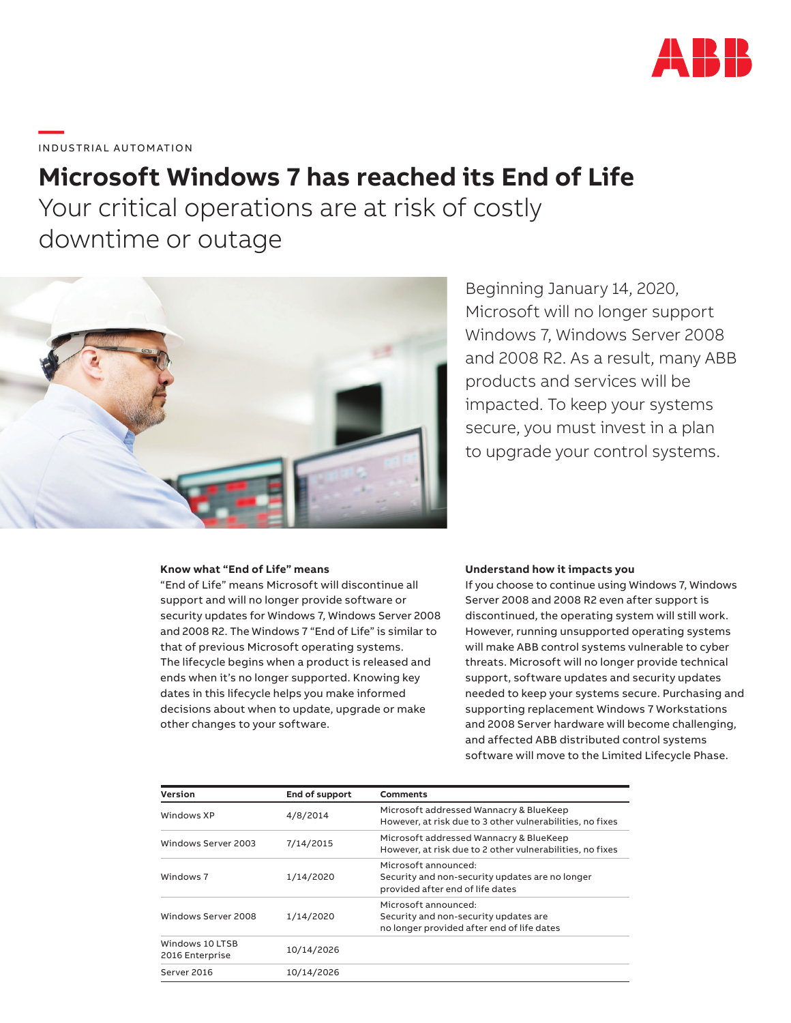

**—**  INDUSTRIAL AUTOMATION

# **Microsoft Windows 7 has reached its End of Life**

Your critical operations are at risk of costly downtime or outage



Beginning January 14, 2020, Microsoft will no longer support Windows 7, Windows Server 2008 and 2008 R2. As a result, many ABB products and services will be impacted. To keep your systems secure, you must invest in a plan to upgrade your control systems.

### **Know what "End of Life" means**

"End of Life" means Microsoft will discontinue all support and will no longer provide software or security updates for Windows 7, Windows Server 2008 and 2008 R2. The Windows 7 "End of Life" is similar to that of previous Microsoft operating systems. The lifecycle begins when a product is released and ends when it's no longer supported. Knowing key dates in this lifecycle helps you make informed decisions about when to update, upgrade or make other changes to your software.

#### **Understand how it impacts you**

If you choose to continue using Windows 7, Windows Server 2008 and 2008 R2 even after support is discontinued, the operating system will still work. However, running unsupported operating systems will make ABB control systems vulnerable to cyber threats. Microsoft will no longer provide technical support, software updates and security updates needed to keep your systems secure. Purchasing and supporting replacement Windows 7 Workstations and 2008 Server hardware will become challenging, and affected ABB distributed control systems software will move to the Limited Lifecycle Phase.

| Version                            | End of support | Comments                                                                                                    |
|------------------------------------|----------------|-------------------------------------------------------------------------------------------------------------|
| Windows XP                         | 4/8/2014       | Microsoft addressed Wannacry & BlueKeep<br>However, at risk due to 3 other vulnerabilities, no fixes        |
| Windows Server 2003                | 7/14/2015      | Microsoft addressed Wannacry & BlueKeep<br>However, at risk due to 2 other vulnerabilities, no fixes        |
| Windows 7                          | 1/14/2020      | Microsoft announced:<br>Security and non-security updates are no longer<br>provided after end of life dates |
| Windows Server 2008                | 1/14/2020      | Microsoft announced:<br>Security and non-security updates are<br>no longer provided after end of life dates |
| Windows 10 LTSB<br>2016 Enterprise | 10/14/2026     |                                                                                                             |
| Server 2016                        | 10/14/2026     |                                                                                                             |